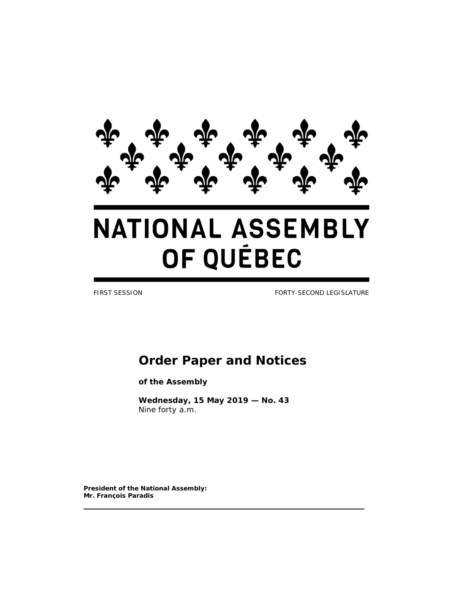

# **NATIONAL ASSEMBLY** OF QUÉBEC

FIRST SESSION FORTY-SECOND LEGISLATURE

## **Order Paper and Notices**

**of the Assembly**

**Wednesday, 15 May 2019 — No. 43** *Nine forty a.m.*

**President of the National Assembly: Mr. François Paradis**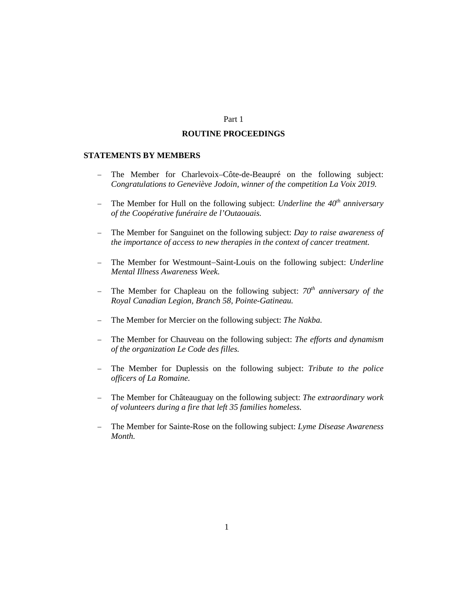#### Part 1

#### **ROUTINE PROCEEDINGS**

## **STATEMENTS BY MEMBERS**

- − The Member for Charlevoix–Côte-de-Beaupré on the following subject: *Congratulations to Geneviève Jodoin, winner of the competition La Voix 2019.*
- − The Member for Hull on the following subject: *Underline the 40th anniversary of the Coopérative funéraire de l'Outaouais.*
- − The Member for Sanguinet on the following subject: *Day to raise awareness of the importance of access to new therapies in the context of cancer treatment.*
- − The Member for Westmount−Saint-Louis on the following subject: *Underline Mental Illness Awareness Week.*
- − The Member for Chapleau on the following subject: *70th anniversary of the Royal Canadian Legion, Branch 58, Pointe-Gatineau.*
- − The Member for Mercier on the following subject: *The Nakba.*
- − The Member for Chauveau on the following subject: *The efforts and dynamism of the organization Le Code des filles.*
- − The Member for Duplessis on the following subject: *Tribute to the police officers of La Romaine.*
- − The Member for Châteauguay on the following subject: *The extraordinary work of volunteers during a fire that left 35 families homeless.*
- − The Member for Sainte-Rose on the following subject: *Lyme Disease Awareness Month.*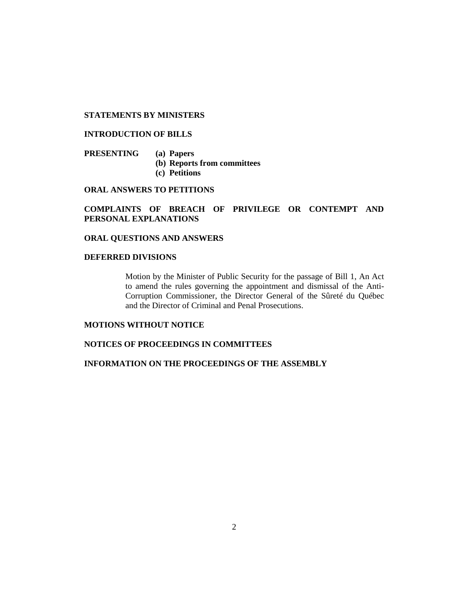## **STATEMENTS BY MINISTERS**

## **INTRODUCTION OF BILLS**

**PRESENTING (a) Papers (b) Reports from committees (c) Petitions**

**ORAL ANSWERS TO PETITIONS**

**COMPLAINTS OF BREACH OF PRIVILEGE OR CONTEMPT AND PERSONAL EXPLANATIONS**

**ORAL QUESTIONS AND ANSWERS**

## **DEFERRED DIVISIONS**

Motion by the Minister of Public Security for the passage of Bill 1, An Act to amend the rules governing the appointment and dismissal of the Anti-Corruption Commissioner, the Director General of the Sûreté du Québec and the Director of Criminal and Penal Prosecutions.

## **MOTIONS WITHOUT NOTICE**

## **NOTICES OF PROCEEDINGS IN COMMITTEES**

## **INFORMATION ON THE PROCEEDINGS OF THE ASSEMBLY**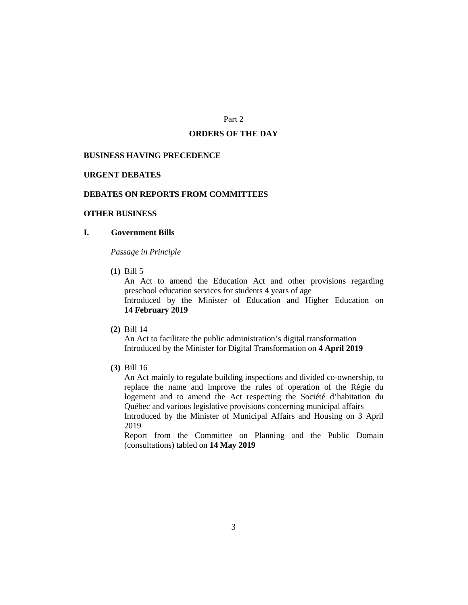## Part 2

#### **ORDERS OF THE DAY**

#### **BUSINESS HAVING PRECEDENCE**

#### **URGENT DEBATES**

## **DEBATES ON REPORTS FROM COMMITTEES**

## **OTHER BUSINESS**

## **I. Government Bills**

*Passage in Principle*

**(1)** Bill 5

An Act to amend the Education Act and other provisions regarding preschool education services for students 4 years of age Introduced by the Minister of Education and Higher Education on **14 February 2019**

**(2)** Bill 14

An Act to facilitate the public administration's digital transformation Introduced by the Minister for Digital Transformation on **4 April 2019**

**(3)** Bill 16

An Act mainly to regulate building inspections and divided co-ownership, to replace the name and improve the rules of operation of the Régie du logement and to amend the Act respecting the Société d'habitation du Québec and various legislative provisions concerning municipal affairs Introduced by the Minister of Municipal Affairs and Housing on 3 April 2019

Report from the Committee on Planning and the Public Domain (consultations) tabled on **14 May 2019**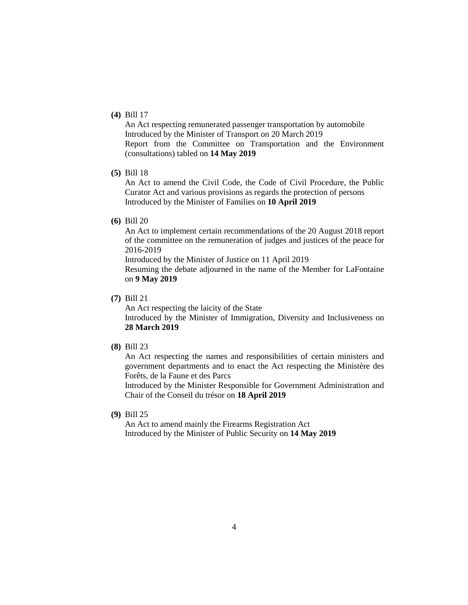## **(4)** Bill 17

An Act respecting remunerated passenger transportation by automobile Introduced by the Minister of Transport on 20 March 2019 Report from the Committee on Transportation and the Environment (consultations) tabled on **14 May 2019**

## **(5)** Bill 18

An Act to amend the Civil Code, the Code of Civil Procedure, the Public Curator Act and various provisions as regards the protection of persons Introduced by the Minister of Families on **10 April 2019**

**(6)** Bill 20

An Act to implement certain recommendations of the 20 August 2018 report of the committee on the remuneration of judges and justices of the peace for 2016-2019

Introduced by the Minister of Justice on 11 April 2019

Resuming the debate adjourned in the name of the Member for LaFontaine on **9 May 2019**

**(7)** Bill 21

An Act respecting the laicity of the State Introduced by the Minister of Immigration, Diversity and Inclusiveness on **28 March 2019**

**(8)** Bill 23

An Act respecting the names and responsibilities of certain ministers and government departments and to enact the Act respecting the Ministère des Forêts, de la Faune et des Parcs

Introduced by the Minister Responsible for Government Administration and Chair of the Conseil du trésor on **18 April 2019**

**(9)** Bill 25

An Act to amend mainly the Firearms Registration Act Introduced by the Minister of Public Security on **14 May 2019**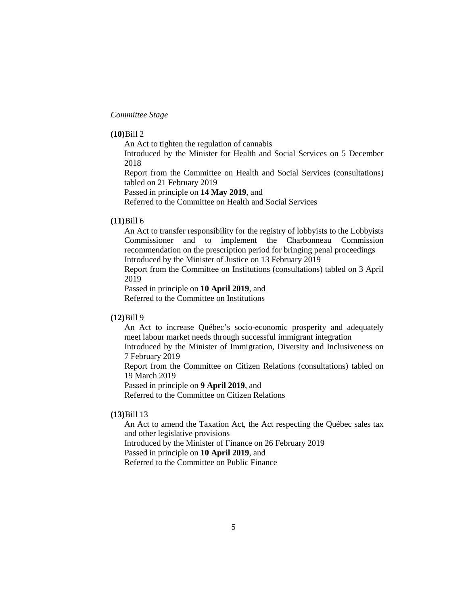*Committee Stage*

### **(10)**Bill 2

An Act to tighten the regulation of cannabis Introduced by the Minister for Health and Social Services on 5 December

2018

Report from the Committee on Health and Social Services (consultations) tabled on 21 February 2019

Passed in principle on **14 May 2019**, and

Referred to the Committee on Health and Social Services

## **(11)**Bill 6

An Act to transfer responsibility for the registry of lobbyists to the Lobbyists Commissioner and to implement the Charbonneau Commission recommendation on the prescription period for bringing penal proceedings Introduced by the Minister of Justice on 13 February 2019

Report from the Committee on Institutions (consultations) tabled on 3 April 2019

Passed in principle on **10 April 2019**, and

Referred to the Committee on Institutions

## **(12)**Bill 9

An Act to increase Québec's socio-economic prosperity and adequately meet labour market needs through successful immigrant integration

Introduced by the Minister of Immigration, Diversity and Inclusiveness on 7 February 2019

Report from the Committee on Citizen Relations (consultations) tabled on 19 March 2019

Passed in principle on **9 April 2019**, and

Referred to the Committee on Citizen Relations

## **(13)**Bill 13

An Act to amend the Taxation Act, the Act respecting the Québec sales tax and other legislative provisions

Introduced by the Minister of Finance on 26 February 2019

Passed in principle on **10 April 2019**, and

Referred to the Committee on Public Finance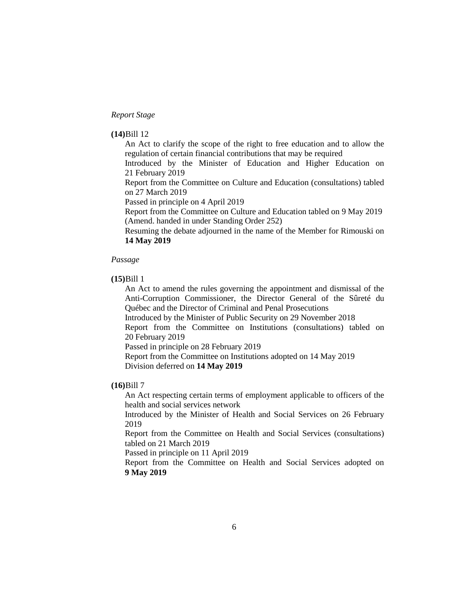## *Report Stage*

#### **(14)**Bill 12

An Act to clarify the scope of the right to free education and to allow the regulation of certain financial contributions that may be required

Introduced by the Minister of Education and Higher Education on 21 February 2019

Report from the Committee on Culture and Education (consultations) tabled on 27 March 2019

Passed in principle on 4 April 2019

Report from the Committee on Culture and Education tabled on 9 May 2019 (Amend. handed in under Standing Order 252)

Resuming the debate adjourned in the name of the Member for Rimouski on **14 May 2019**

#### *Passage*

## **(15)**Bill 1

An Act to amend the rules governing the appointment and dismissal of the Anti-Corruption Commissioner, the Director General of the Sûreté du Québec and the Director of Criminal and Penal Prosecutions

Introduced by the Minister of Public Security on 29 November 2018

Report from the Committee on Institutions (consultations) tabled on 20 February 2019

Passed in principle on 28 February 2019

Report from the Committee on Institutions adopted on 14 May 2019 Division deferred on **14 May 2019**

## **(16)**Bill 7

An Act respecting certain terms of employment applicable to officers of the health and social services network

Introduced by the Minister of Health and Social Services on 26 February 2019

Report from the Committee on Health and Social Services (consultations) tabled on 21 March 2019

Passed in principle on 11 April 2019

Report from the Committee on Health and Social Services adopted on **9 May 2019**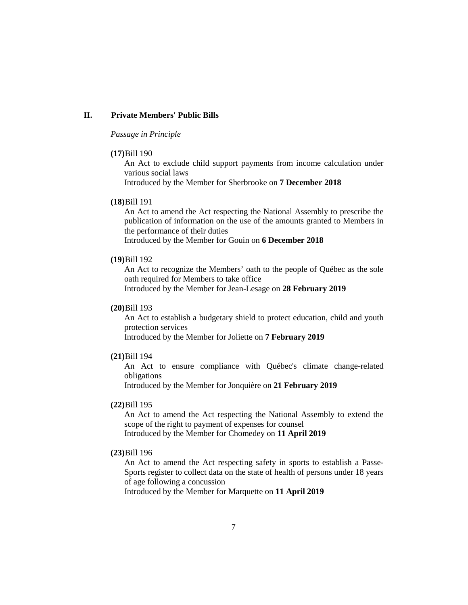## **II. Private Members' Public Bills**

## *Passage in Principle*

#### **(17)**Bill 190

An Act to exclude child support payments from income calculation under various social laws

Introduced by the Member for Sherbrooke on **7 December 2018**

#### **(18)**Bill 191

An Act to amend the Act respecting the National Assembly to prescribe the publication of information on the use of the amounts granted to Members in the performance of their duties

Introduced by the Member for Gouin on **6 December 2018**

#### **(19)**Bill 192

An Act to recognize the Members' oath to the people of Québec as the sole oath required for Members to take office

Introduced by the Member for Jean-Lesage on **28 February 2019**

## **(20)**Bill 193

An Act to establish a budgetary shield to protect education, child and youth protection services

Introduced by the Member for Joliette on **7 February 2019**

## **(21)**Bill 194

An Act to ensure compliance with Québec's climate change-related obligations

Introduced by the Member for Jonquière on **21 February 2019**

## **(22)**Bill 195

An Act to amend the Act respecting the National Assembly to extend the scope of the right to payment of expenses for counsel Introduced by the Member for Chomedey on **11 April 2019**

## **(23)**Bill 196

An Act to amend the Act respecting safety in sports to establish a Passe-Sports register to collect data on the state of health of persons under 18 years of age following a concussion

Introduced by the Member for Marquette on **11 April 2019**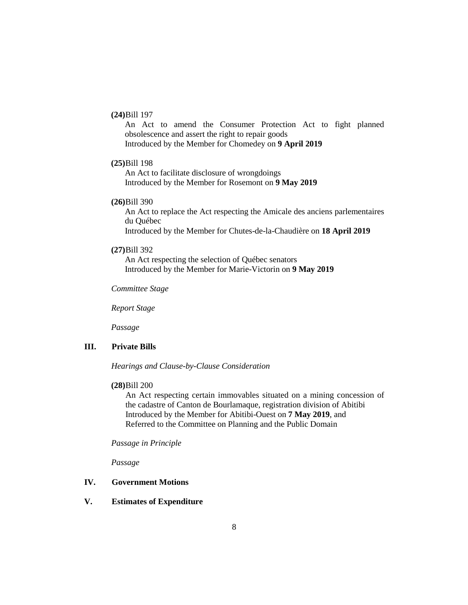## **(24)**Bill 197

An Act to amend the Consumer Protection Act to fight planned obsolescence and assert the right to repair goods Introduced by the Member for Chomedey on **9 April 2019**

#### **(25)**Bill 198

An Act to facilitate disclosure of wrongdoings Introduced by the Member for Rosemont on **9 May 2019**

## **(26)**Bill 390

An Act to replace the Act respecting the Amicale des anciens parlementaires du Québec Introduced by the Member for Chutes-de-la-Chaudière on **18 April 2019**

#### **(27)**Bill 392

An Act respecting the selection of Québec senators Introduced by the Member for Marie-Victorin on **9 May 2019**

*Committee Stage*

*Report Stage*

*Passage*

## **III. Private Bills**

*Hearings and Clause-by-Clause Consideration*

#### **(28)**Bill 200

An Act respecting certain immovables situated on a mining concession of the cadastre of Canton de Bourlamaque, registration division of Abitibi Introduced by the Member for Abitibi-Ouest on **7 May 2019**, and Referred to the Committee on Planning and the Public Domain

*Passage in Principle*

*Passage*

## **IV. Government Motions**

## **V. Estimates of Expenditure**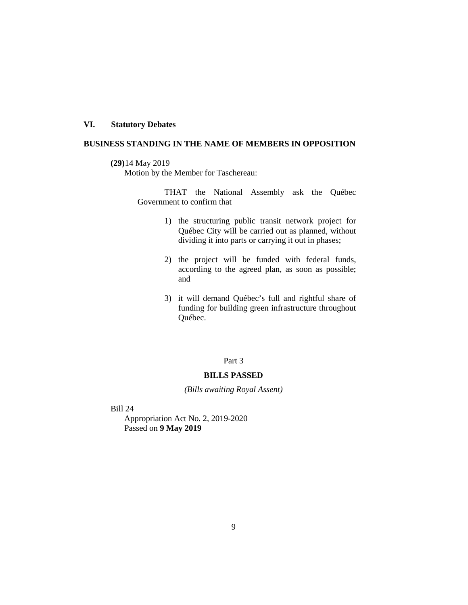## **VI. Statutory Debates**

## **BUSINESS STANDING IN THE NAME OF MEMBERS IN OPPOSITION**

## **(29)**14 May 2019

Motion by the Member for Taschereau:

THAT the National Assembly ask the Québec Government to confirm that

- 1) the structuring public transit network project for Québec City will be carried out as planned, without dividing it into parts or carrying it out in phases;
- 2) the project will be funded with federal funds, according to the agreed plan, as soon as possible; and
- 3) it will demand Québec's full and rightful share of funding for building green infrastructure throughout Québec.

## Part 3

#### **BILLS PASSED**

*(Bills awaiting Royal Assent)*

Bill 24

Appropriation Act No. 2, 2019-2020 Passed on **9 May 2019**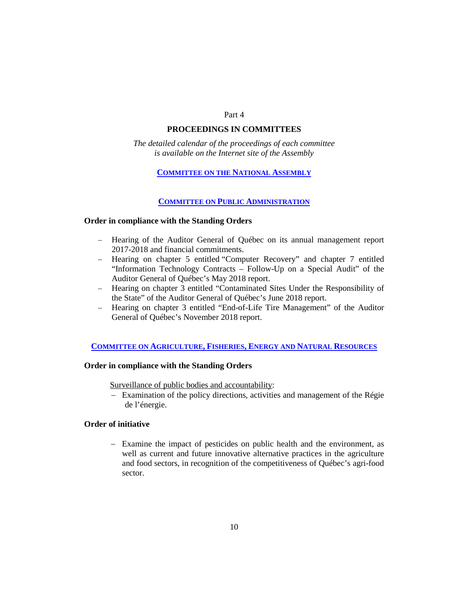#### Part 4

## **PROCEEDINGS IN COMMITTEES**

*The detailed calendar of the proceedings of each committee is available on the Internet site of the Assembly*

## **[COMMITTEE ON THE NATIONAL ASSEMBLY](http://www.assnat.qc.ca/en/travaux-parlementaires/commissions/can-42-1/index.html)**

## **[COMMITTEE ON PUBLIC ADMINISTRATION](http://www.assnat.qc.ca/en/travaux-parlementaires/commissions/cap-42-1/index.html)**

#### **Order in compliance with the Standing Orders**

- − Hearing of the Auditor General of Québec on its annual management report 2017-2018 and financial commitments.
- − Hearing on chapter 5 entitled "Computer Recovery" and chapter 7 entitled "Information Technology Contracts – Follow-Up on a Special Audit" of the Auditor General of Québec's May 2018 report.
- − Hearing on chapter 3 entitled "Contaminated Sites Under the Responsibility of the State" of the Auditor General of Québec's June 2018 report.
- − Hearing on chapter 3 entitled "End-of-Life Tire Management" of the Auditor General of Québec's November 2018 report.

## **COMMITTEE ON AGRICULTURE, FISHERIES, [ENERGY AND NATURAL RESOURCES](http://www.assnat.qc.ca/en/travaux-parlementaires/commissions/capern-42-1/index.html)**

## **Order in compliance with the Standing Orders**

Surveillance of public bodies and accountability:

− Examination of the policy directions, activities and management of the Régie de l'énergie.

## **Order of initiative**

− Examine the impact of pesticides on public health and the environment, as well as current and future innovative alternative practices in the agriculture and food sectors, in recognition of the competitiveness of Québec's agri-food sector.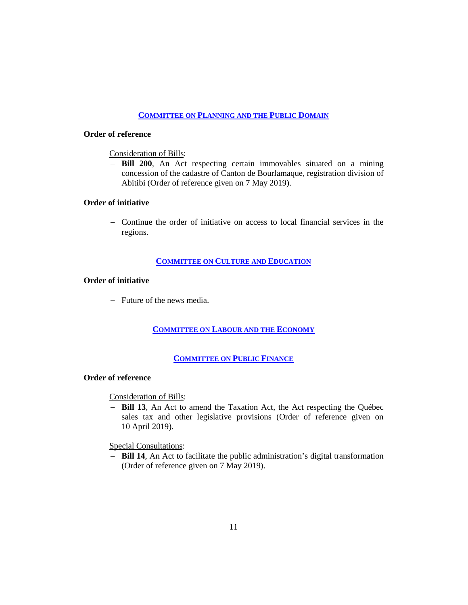## **[COMMITTEE ON PLANNING AND THE PUBLIC DOMAIN](http://www.assnat.qc.ca/en/travaux-parlementaires/commissions/cat-42-1/index.html)**

## **Order of reference**

## Consideration of Bills:

− **Bill 200**, An Act respecting certain immovables situated on a mining concession of the cadastre of Canton de Bourlamaque, registration division of Abitibi (Order of reference given on 7 May 2019).

## **Order of initiative**

− Continue the order of initiative on access to local financial services in the regions.

## **[COMMITTEE ON CULTURE AND EDUCATION](http://www.assnat.qc.ca/en/travaux-parlementaires/commissions/cce-42-1/index.html)**

## **Order of initiative**

− Future of the news media.

## **[COMMITTEE ON LABOUR AND THE ECONOMY](http://www.assnat.qc.ca/en/travaux-parlementaires/commissions/cet-42-1/index.html)**

## **[COMMITTEE ON PUBLIC FINANCE](http://www.assnat.qc.ca/en/travaux-parlementaires/commissions/cfp-42-1/index.html)**

## **Order of reference**

## Consideration of Bills:

− **Bill 13**, An Act to amend the Taxation Act, the Act respecting the Québec sales tax and other legislative provisions (Order of reference given on 10 April 2019).

## Special Consultations:

− **Bill 14**, An Act to facilitate the public administration's digital transformation (Order of reference given on 7 May 2019).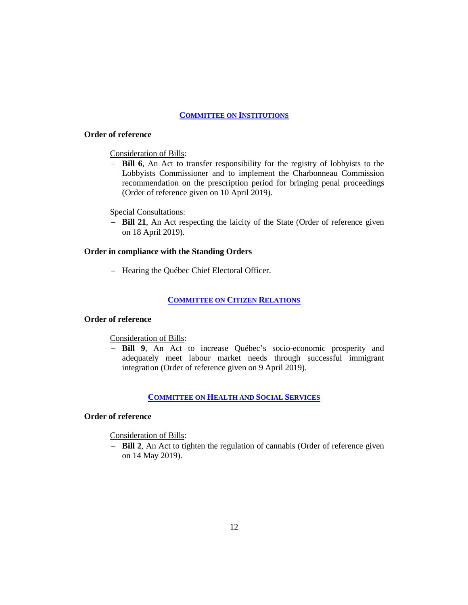## **[COMMITTEE ON INSTITUTIONS](http://www.assnat.qc.ca/en/travaux-parlementaires/commissions/ci-42-1/index.html)**

## **Order of reference**

## Consideration of Bills:

− **Bill 6**, An Act to transfer responsibility for the registry of lobbyists to the Lobbyists Commissioner and to implement the Charbonneau Commission recommendation on the prescription period for bringing penal proceedings (Order of reference given on 10 April 2019).

#### Special Consultations:

− **Bill 21**, An Act respecting the laicity of the State (Order of reference given on 18 April 2019).

## **Order in compliance with the Standing Orders**

− Hearing the Québec Chief Electoral Officer.

## **[COMMITTEE ON CITIZEN RELATIONS](http://www.assnat.qc.ca/en/travaux-parlementaires/commissions/crc-42-1/index.html)**

## **Order of reference**

## Consideration of Bills:

− **Bill 9**, An Act to increase Québec's socio-economic prosperity and adequately meet labour market needs through successful immigrant integration (Order of reference given on 9 April 2019).

## **[COMMITTEE ON HEALTH AND SOCIAL SERVICES](http://www.assnat.qc.ca/en/travaux-parlementaires/commissions/csss-42-1/index.html)**

## **Order of reference**

Consideration of Bills:

− **Bill 2**, An Act to tighten the regulation of cannabis (Order of reference given on 14 May 2019).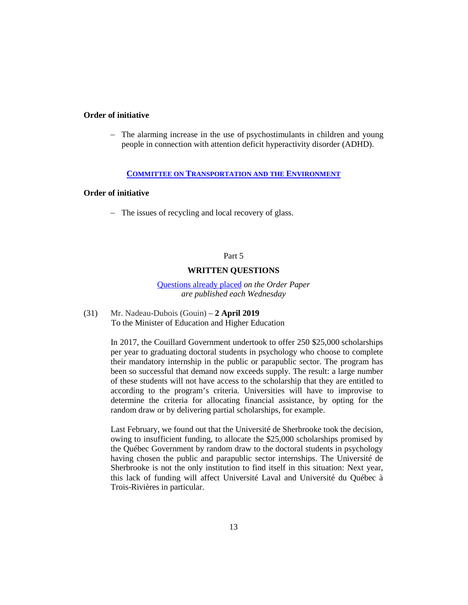## **Order of initiative**

− The alarming increase in the use of psychostimulants in children and young people in connection with attention deficit hyperactivity disorder (ADHD).

#### **[COMMITTEE ON TRANSPORTATION AND THE ENVIRONMENT](http://www.assnat.qc.ca/en/travaux-parlementaires/commissions/cte-42-1/index.html)**

## **Order of initiative**

− The issues of recycling and local recovery of glass.

## Part 5

#### **WRITTEN QUESTIONS**

[Questions already placed](http://www.assnat.qc.ca/en/document/141127.html) *on the Order Paper are published each Wednesday*

(31) Mr. Nadeau-Dubois (Gouin) – **2 April 2019** To the Minister of Education and Higher Education

> In 2017, the Couillard Government undertook to offer 250 \$25,000 scholarships per year to graduating doctoral students in psychology who choose to complete their mandatory internship in the public or parapublic sector. The program has been so successful that demand now exceeds supply. The result: a large number of these students will not have access to the scholarship that they are entitled to according to the program's criteria. Universities will have to improvise to determine the criteria for allocating financial assistance, by opting for the random draw or by delivering partial scholarships, for example.

> Last February, we found out that the Université de Sherbrooke took the decision, owing to insufficient funding, to allocate the \$25,000 scholarships promised by the Québec Government by random draw to the doctoral students in psychology having chosen the public and parapublic sector internships. The Université de Sherbrooke is not the only institution to find itself in this situation: Next year, this lack of funding will affect Université Laval and Université du Québec à Trois-Rivières in particular.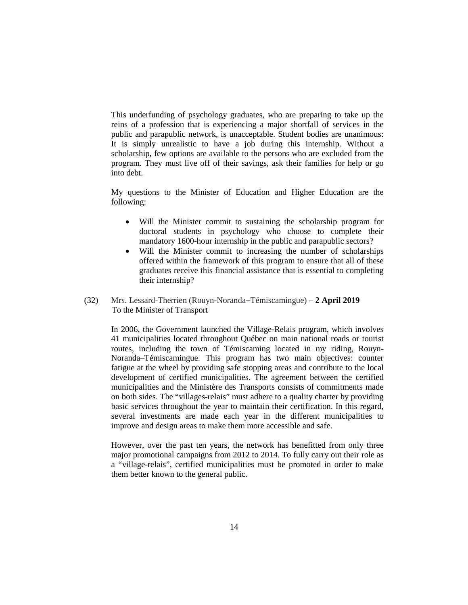This underfunding of psychology graduates, who are preparing to take up the reins of a profession that is experiencing a major shortfall of services in the public and parapublic network, is unacceptable. Student bodies are unanimous: It is simply unrealistic to have a job during this internship. Without a scholarship, few options are available to the persons who are excluded from the program. They must live off of their savings, ask their families for help or go into debt.

My questions to the Minister of Education and Higher Education are the following:

- Will the Minister commit to sustaining the scholarship program for doctoral students in psychology who choose to complete their mandatory 1600-hour internship in the public and parapublic sectors?
- Will the Minister commit to increasing the number of scholarships offered within the framework of this program to ensure that all of these graduates receive this financial assistance that is essential to completing their internship?
- (32) Mrs. Lessard-Therrien (Rouyn-Noranda−Témiscamingue) **2 April 2019** To the Minister of Transport

In 2006, the Government launched the Village-Relais program, which involves 41 municipalities located throughout Québec on main national roads or tourist routes, including the town of Témiscaming located in my riding, Rouyn-Noranda–Témiscamingue. This program has two main objectives: counter fatigue at the wheel by providing safe stopping areas and contribute to the local development of certified municipalities. The agreement between the certified municipalities and the Ministère des Transports consists of commitments made on both sides. The "villages-relais" must adhere to a quality charter by providing basic services throughout the year to maintain their certification. In this regard, several investments are made each year in the different municipalities to improve and design areas to make them more accessible and safe.

However, over the past ten years, the network has benefitted from only three major promotional campaigns from 2012 to 2014. To fully carry out their role as a "village-relais", certified municipalities must be promoted in order to make them better known to the general public.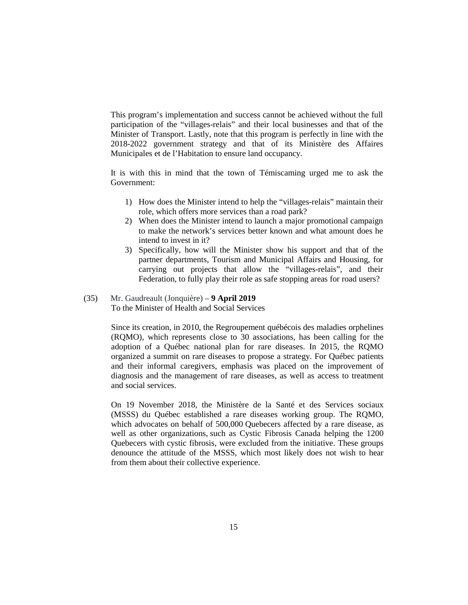This program's implementation and success cannot be achieved without the full participation of the "villages-relais" and their local businesses and that of the Minister of Transport. Lastly, note that this program is perfectly in line with the 2018-2022 government strategy and that of its Ministère des Affaires Municipales et de l'Habitation to ensure land occupancy.

It is with this in mind that the town of Témiscaming urged me to ask the Government:

- 1) How does the Minister intend to help the "villages-relais" maintain their role, which offers more services than a road park?
- 2) When does the Minister intend to launch a major promotional campaign to make the network's services better known and what amount does he intend to invest in it?
- 3) Specifically, how will the Minister show his support and that of the partner departments, Tourism and Municipal Affairs and Housing, for carrying out projects that allow the "villages-relais", and their Federation, to fully play their role as safe stopping areas for road users?

#### (35) Mr. Gaudreault (Jonquière) – **9 April 2019** To the Minister of Health and Social Services

Since its creation, in 2010, the Regroupement québécois des maladies orphelines (RQMO), which represents close to 30 associations, has been calling for the adoption of a Québec national plan for rare diseases. In 2015, the RQMO organized a summit on rare diseases to propose a strategy. For Québec patients and their informal caregivers, emphasis was placed on the improvement of diagnosis and the management of rare diseases, as well as access to treatment and social services.

On 19 November 2018, the Ministère de la Santé et des Services sociaux (MSSS) du Québec established a rare diseases working group. The RQMO, which advocates on behalf of 500,000 Quebecers affected by a rare disease, as well as other organizations, such as Cystic Fibrosis Canada helping the 1200 Quebecers with cystic fibrosis, were excluded from the initiative. These groups denounce the attitude of the MSSS, which most likely does not wish to hear from them about their collective experience.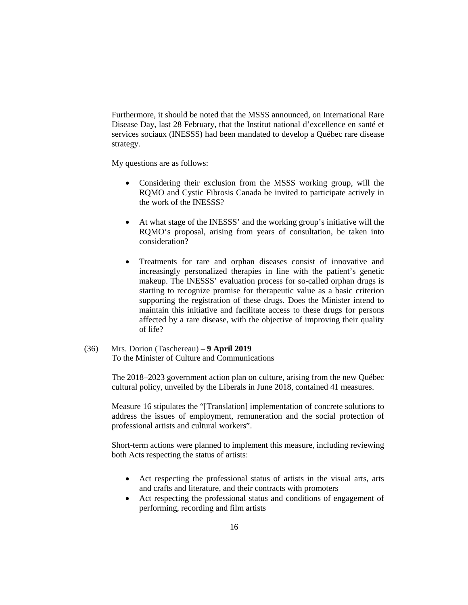Furthermore, it should be noted that the MSSS announced, on International Rare Disease Day, last 28 February, that the Institut national d'excellence en santé et services sociaux (INESSS) had been mandated to develop a Québec rare disease strategy.

My questions are as follows:

- Considering their exclusion from the MSSS working group, will the RQMO and Cystic Fibrosis Canada be invited to participate actively in the work of the INESSS?
- At what stage of the INESSS' and the working group's initiative will the RQMO's proposal, arising from years of consultation, be taken into consideration?
- Treatments for rare and orphan diseases consist of innovative and increasingly personalized therapies in line with the patient's genetic makeup. The INESSS' evaluation process for so-called orphan drugs is starting to recognize promise for therapeutic value as a basic criterion supporting the registration of these drugs. Does the Minister intend to maintain this initiative and facilitate access to these drugs for persons affected by a rare disease, with the objective of improving their quality of life?
- (36) Mrs. Dorion (Taschereau) **9 April 2019** To the Minister of Culture and Communications

The 2018–2023 government action plan on culture, arising from the new Québec cultural policy, unveiled by the Liberals in June 2018, contained 41 measures.

Measure 16 stipulates the "[Translation] implementation of concrete solutions to address the issues of employment, remuneration and the social protection of professional artists and cultural workers".

Short-term actions were planned to implement this measure, including reviewing both Acts respecting the status of artists:

- Act respecting the professional status of artists in the visual arts, arts and crafts and literature, and their contracts with promoters
- Act respecting the professional status and conditions of engagement of performing, recording and film artists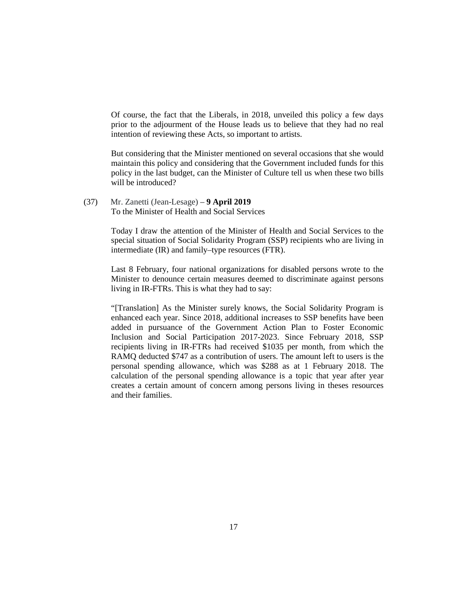Of course, the fact that the Liberals, in 2018, unveiled this policy a few days prior to the adjourment of the House leads us to believe that they had no real intention of reviewing these Acts, so important to artists.

But considering that the Minister mentioned on several occasions that she would maintain this policy and considering that the Government included funds for this policy in the last budget, can the Minister of Culture tell us when these two bills will be introduced?

(37) Mr. Zanetti (Jean-Lesage) – **9 April 2019** To the Minister of Health and Social Services

> Today I draw the attention of the Minister of Health and Social Services to the special situation of Social Solidarity Program (SSP) recipients who are living in intermediate (IR) and family–type resources (FTR).

> Last 8 February, four national organizations for disabled persons wrote to the Minister to denounce certain measures deemed to discriminate against persons living in IR-FTRs. This is what they had to say:

> "[Translation] As the Minister surely knows, the Social Solidarity Program is enhanced each year. Since 2018, additional increases to SSP benefits have been added in pursuance of the Government Action Plan to Foster Economic Inclusion and Social Participation 2017-2023. Since February 2018, SSP recipients living in IR-FTRs had received \$1035 per month, from which the RAMQ deducted \$747 as a contribution of users. The amount left to users is the personal spending allowance, which was \$288 as at 1 February 2018. The calculation of the personal spending allowance is a topic that year after year creates a certain amount of concern among persons living in theses resources and their families.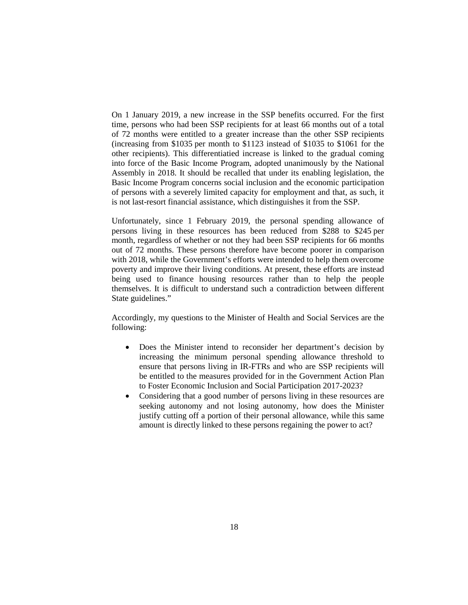On 1 January 2019, a new increase in the SSP benefits occurred. For the first time, persons who had been SSP recipients for at least 66 months out of a total of 72 months were entitled to a greater increase than the other SSP recipients (increasing from \$1035 per month to \$1123 instead of \$1035 to \$1061 for the other recipients). This differentiatied increase is linked to the gradual coming into force of the Basic Income Program, adopted unanimously by the National Assembly in 2018. It should be recalled that under its enabling legislation, the Basic Income Program concerns social inclusion and the economic participation of persons with a severely limited capacity for employment and that, as such, it is not last-resort financial assistance, which distinguishes it from the SSP.

Unfortunately, since 1 February 2019, the personal spending allowance of persons living in these resources has been reduced from \$288 to \$245 per month, regardless of whether or not they had been SSP recipients for 66 months out of 72 months. These persons therefore have become poorer in comparison with 2018, while the Government's efforts were intended to help them overcome poverty and improve their living conditions. At present, these efforts are instead being used to finance housing resources rather than to help the people themselves. It is difficult to understand such a contradiction between different State guidelines."

Accordingly, my questions to the Minister of Health and Social Services are the following:

- Does the Minister intend to reconsider her department's decision by increasing the minimum personal spending allowance threshold to ensure that persons living in IR-FTRs and who are SSP recipients will be entitled to the measures provided for in the Government Action Plan to Foster Economic Inclusion and Social Participation 2017-2023?
- Considering that a good number of persons living in these resources are seeking autonomy and not losing autonomy, how does the Minister justify cutting off a portion of their personal allowance, while this same amount is directly linked to these persons regaining the power to act?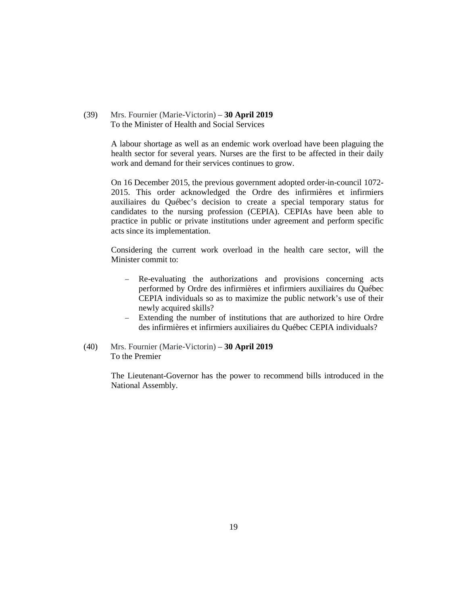(39) Mrs. Fournier (Marie-Victorin) – **30 April 2019** To the Minister of Health and Social Services

> A labour shortage as well as an endemic work overload have been plaguing the health sector for several years. Nurses are the first to be affected in their daily work and demand for their services continues to grow.

> On 16 December 2015, the previous government adopted order-in-council 1072- 2015. This order acknowledged the Ordre des infirmières et infirmiers auxiliaires du Québec's decision to create a special temporary status for candidates to the nursing profession (CEPIA). CEPIAs have been able to practice in public or private institutions under agreement and perform specific acts since its implementation.

> Considering the current work overload in the health care sector, will the Minister commit to:

- − Re-evaluating the authorizations and provisions concerning acts performed by Ordre des infirmières et infirmiers auxiliaires du Québec CEPIA individuals so as to maximize the public network's use of their newly acquired skills?
- Extending the number of institutions that are authorized to hire Ordre des infirmières et infirmiers auxiliaires du Québec CEPIA individuals?
- (40) Mrs. Fournier (Marie-Victorin) **30 April 2019** To the Premier

The Lieutenant-Governor has the power to recommend bills introduced in the National Assembly.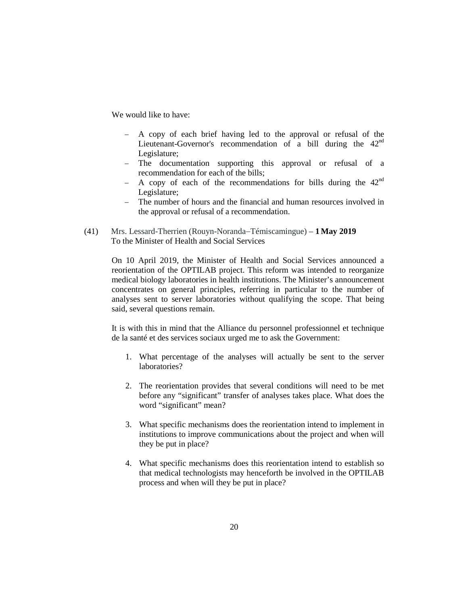We would like to have:

- − A copy of each brief having led to the approval or refusal of the Lieutenant-Governor's recommendation of a bill during the  $42<sup>nd</sup>$ Legislature;
- − The documentation supporting this approval or refusal of a recommendation for each of the bills;
- $-$  A copy of each of the recommendations for bills during the 42<sup>nd</sup> Legislature;
- The number of hours and the financial and human resources involved in the approval or refusal of a recommendation.
- (41) Mrs. Lessard-Therrien (Rouyn-Noranda−Témiscamingue) **1 May 2019** To the Minister of Health and Social Services

On 10 April 2019, the Minister of Health and Social Services announced a reorientation of the OPTILAB project. This reform was intended to reorganize medical biology laboratories in health institutions. The Minister's announcement concentrates on general principles, referring in particular to the number of analyses sent to server laboratories without qualifying the scope. That being said, several questions remain.

It is with this in mind that the Alliance du personnel professionnel et technique de la santé et des services sociaux urged me to ask the Government:

- 1. What percentage of the analyses will actually be sent to the server laboratories?
- 2. The reorientation provides that several conditions will need to be met before any "significant" transfer of analyses takes place. What does the word "significant" mean?
- 3. What specific mechanisms does the reorientation intend to implement in institutions to improve communications about the project and when will they be put in place?
- 4. What specific mechanisms does this reorientation intend to establish so that medical technologists may henceforth be involved in the OPTILAB process and when will they be put in place?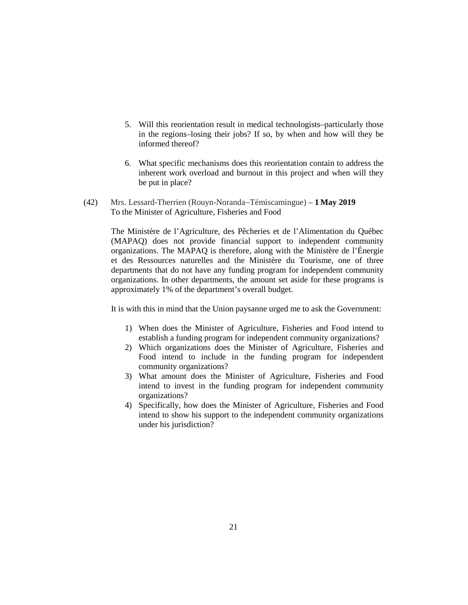- 5. Will this reorientation result in medical technologists–particularly those in the regions–losing their jobs? If so, by when and how will they be informed thereof?
- 6. What specific mechanisms does this reorientation contain to address the inherent work overload and burnout in this project and when will they be put in place?
- (42) Mrs. Lessard-Therrien (Rouyn-Noranda−Témiscamingue) **1 May 2019** To the Minister of Agriculture, Fisheries and Food

The Ministère de l'Agriculture, des Pêcheries et de l'Alimentation du Québec (MAPAQ) does not provide financial support to independent community organizations. The MAPAQ is therefore, along with the Ministère de l'Énergie et des Ressources naturelles and the Ministère du Tourisme, one of three departments that do not have any funding program for independent community organizations. In other departments, the amount set aside for these programs is approximately 1% of the department's overall budget.

It is with this in mind that the Union paysanne urged me to ask the Government:

- 1) When does the Minister of Agriculture, Fisheries and Food intend to establish a funding program for independent community organizations?
- 2) Which organizations does the Minister of Agriculture, Fisheries and Food intend to include in the funding program for independent community organizations?
- 3) What amount does the Minister of Agriculture, Fisheries and Food intend to invest in the funding program for independent community organizations?
- 4) Specifically, how does the Minister of Agriculture, Fisheries and Food intend to show his support to the independent community organizations under his jurisdiction?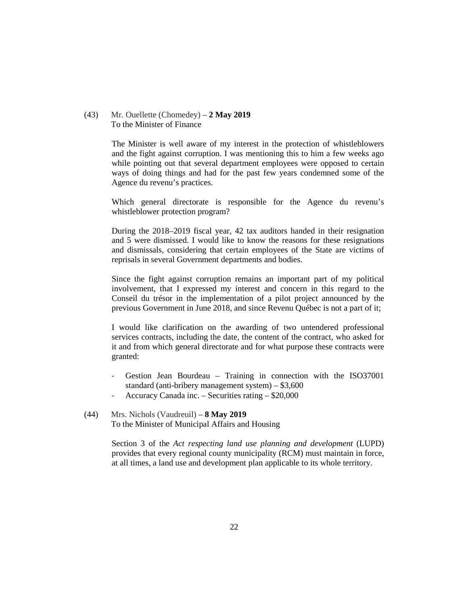### (43) Mr. Ouellette (Chomedey) – **2 May 2019** To the Minister of Finance

The Minister is well aware of my interest in the protection of whistleblowers and the fight against corruption. I was mentioning this to him a few weeks ago while pointing out that several department employees were opposed to certain ways of doing things and had for the past few years condemned some of the Agence du revenu's practices.

Which general directorate is responsible for the Agence du revenu's whistleblower protection program?

During the 2018–2019 fiscal year, 42 tax auditors handed in their resignation and 5 were dismissed. I would like to know the reasons for these resignations and dismissals, considering that certain employees of the State are victims of reprisals in several Government departments and bodies.

Since the fight against corruption remains an important part of my political involvement, that I expressed my interest and concern in this regard to the Conseil du trésor in the implementation of a pilot project announced by the previous Government in June 2018, and since Revenu Québec is not a part of it;

I would like clarification on the awarding of two untendered professional services contracts, including the date, the content of the contract, who asked for it and from which general directorate and for what purpose these contracts were granted:

- Gestion Jean Bourdeau Training in connection with the ISO37001 standard (anti-bribery management system) – \$3,600
- Accuracy Canada inc. Securities rating \$20,000
- (44) Mrs. Nichols (Vaudreuil) **8 May 2019** To the Minister of Municipal Affairs and Housing

Section 3 of the *Act respecting land use planning and development* (LUPD) provides that every regional county municipality (RCM) must maintain in force, at all times, a land use and development plan applicable to its whole territory.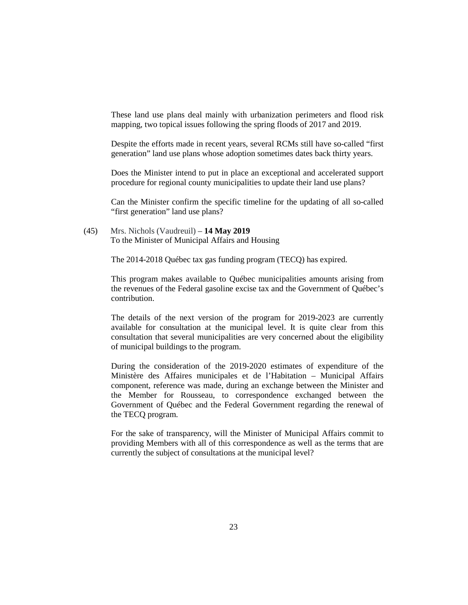These land use plans deal mainly with urbanization perimeters and flood risk mapping, two topical issues following the spring floods of 2017 and 2019.

Despite the efforts made in recent years, several RCMs still have so-called "first generation" land use plans whose adoption sometimes dates back thirty years.

Does the Minister intend to put in place an exceptional and accelerated support procedure for regional county municipalities to update their land use plans?

Can the Minister confirm the specific timeline for the updating of all so-called "first generation" land use plans?

(45) Mrs. Nichols (Vaudreuil) – **14 May 2019** To the Minister of Municipal Affairs and Housing

The 2014-2018 Québec tax gas funding program (TECQ) has expired.

This program makes available to Québec municipalities amounts arising from the revenues of the Federal gasoline excise tax and the Government of Québec's contribution.

The details of the next version of the program for 2019-2023 are currently available for consultation at the municipal level. It is quite clear from this consultation that several municipalities are very concerned about the eligibility of municipal buildings to the program.

During the consideration of the 2019-2020 estimates of expenditure of the Ministère des Affaires municipales et de l'Habitation – Municipal Affairs component, reference was made, during an exchange between the Minister and the Member for Rousseau, to correspondence exchanged between the Government of Québec and the Federal Government regarding the renewal of the TECQ program.

For the sake of transparency, will the Minister of Municipal Affairs commit to providing Members with all of this correspondence as well as the terms that are currently the subject of consultations at the municipal level?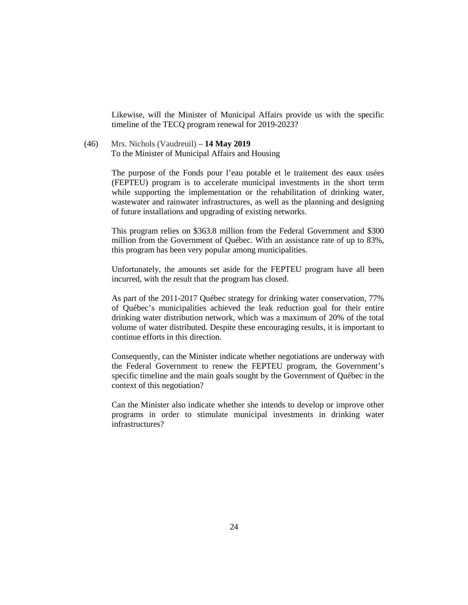Likewise, will the Minister of Municipal Affairs provide us with the specific timeline of the TECQ program renewal for 2019-2023?

(46) Mrs. Nichols (Vaudreuil) – **14 May 2019** To the Minister of Municipal Affairs and Housing

> The purpose of the Fonds pour l'eau potable et le traitement des eaux usées (FEPTEU) program is to accelerate municipal investments in the short term while supporting the implementation or the rehabilitation of drinking water, wastewater and rainwater infrastructures, as well as the planning and designing of future installations and upgrading of existing networks.

> This program relies on \$363.8 million from the Federal Government and \$300 million from the Government of Québec. With an assistance rate of up to 83%, this program has been very popular among municipalities.

> Unfortunately, the amounts set aside for the FEPTEU program have all been incurred, with the result that the program has closed.

> As part of the 2011-2017 Québec strategy for drinking water conservation, 77% of Québec's municipalities achieved the leak reduction goal for their entire drinking water distribution network, which was a maximum of 20% of the total volume of water distributed. Despite these encouraging results, it is important to continue efforts in this direction.

> Consequently, can the Minister indicate whether negotiations are underway with the Federal Government to renew the FEPTEU program, the Government's specific timeline and the main goals sought by the Government of Québec in the context of this negotiation?

> Can the Minister also indicate whether she intends to develop or improve other programs in order to stimulate municipal investments in drinking water infrastructures?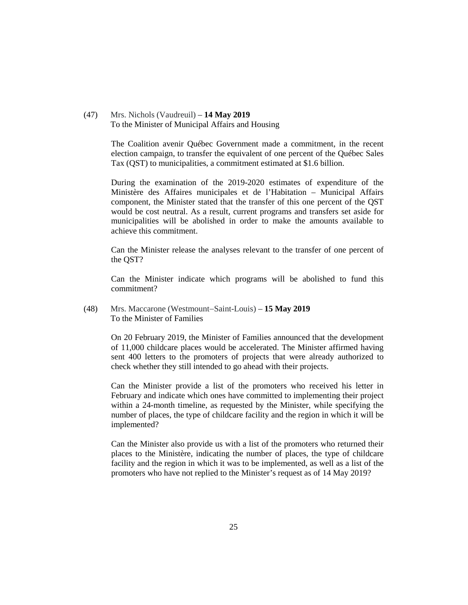(47) Mrs. Nichols (Vaudreuil) – **14 May 2019** To the Minister of Municipal Affairs and Housing

> The Coalition avenir Québec Government made a commitment, in the recent election campaign, to transfer the equivalent of one percent of the Québec Sales Tax (QST) to municipalities, a commitment estimated at \$1.6 billion.

> During the examination of the 2019-2020 estimates of expenditure of the Ministère des Affaires municipales et de l'Habitation – Municipal Affairs component, the Minister stated that the transfer of this one percent of the QST would be cost neutral. As a result, current programs and transfers set aside for municipalities will be abolished in order to make the amounts available to achieve this commitment.

> Can the Minister release the analyses relevant to the transfer of one percent of the QST?

> Can the Minister indicate which programs will be abolished to fund this commitment?

(48) Mrs. Maccarone (Westmount−Saint-Louis) – **15 May 2019** To the Minister of Families

> On 20 February 2019, the Minister of Families announced that the development of 11,000 childcare places would be accelerated. The Minister affirmed having sent 400 letters to the promoters of projects that were already authorized to check whether they still intended to go ahead with their projects.

> Can the Minister provide a list of the promoters who received his letter in February and indicate which ones have committed to implementing their project within a 24-month timeline, as requested by the Minister, while specifying the number of places, the type of childcare facility and the region in which it will be implemented?

> Can the Minister also provide us with a list of the promoters who returned their places to the Ministère, indicating the number of places, the type of childcare facility and the region in which it was to be implemented, as well as a list of the promoters who have not replied to the Minister's request as of 14 May 2019?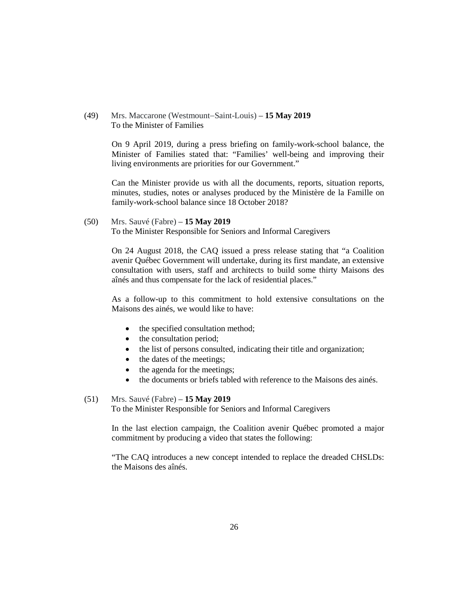## (49) Mrs. Maccarone (Westmount−Saint-Louis) – **15 May 2019** To the Minister of Families

On 9 April 2019, during a press briefing on family-work-school balance, the Minister of Families stated that: "Families' well-being and improving their living environments are priorities for our Government."

Can the Minister provide us with all the documents, reports, situation reports, minutes, studies, notes or analyses produced by the Ministère de la Famille on family-work-school balance since 18 October 2018?

## (50) Mrs. Sauvé (Fabre) – **15 May 2019**

To the Minister Responsible for Seniors and Informal Caregivers

On 24 August 2018, the CAQ issued a press release stating that "a Coalition avenir Québec Government will undertake, during its first mandate, an extensive consultation with users, staff and architects to build some thirty Maisons des aînés and thus compensate for the lack of residential places."

As a follow-up to this commitment to hold extensive consultations on the Maisons des ainés, we would like to have:

- the specified consultation method;
- the consultation period;
- the list of persons consulted, indicating their title and organization;
- the dates of the meetings;
- the agenda for the meetings;
- the documents or briefs tabled with reference to the Maisons des ainés.

## (51) Mrs. Sauvé (Fabre) – **15 May 2019**

To the Minister Responsible for Seniors and Informal Caregivers

In the last election campaign, the Coalition avenir Québec promoted a major commitment by producing a video that states the following:

"The CAQ introduces a new concept intended to replace the dreaded CHSLDs: the Maisons des aînés.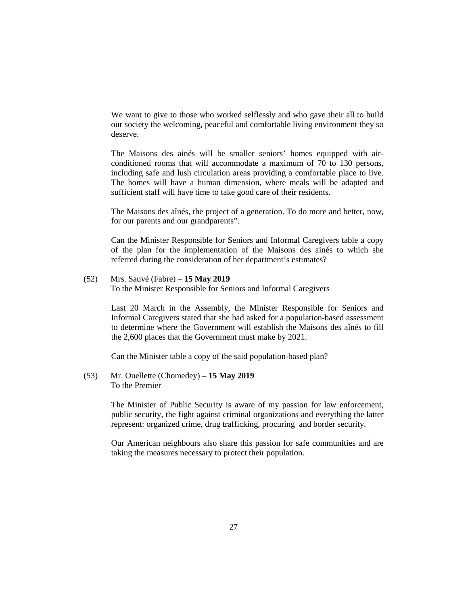We want to give to those who worked selflessly and who gave their all to build our society the welcoming, peaceful and comfortable living environment they so deserve.

The Maisons des ainés will be smaller seniors' homes equipped with airconditioned rooms that will accommodate a maximum of 70 to 130 persons, including safe and lush circulation areas providing a comfortable place to live. The homes will have a human dimension, where meals will be adapted and sufficient staff will have time to take good care of their residents.

The Maisons des aînés, the project of a generation. To do more and better, now, for our parents and our grandparents".

Can the Minister Responsible for Seniors and Informal Caregivers table a copy of the plan for the implementation of the Maisons des ainés to which she referred during the consideration of her department's estimates?

## (52) Mrs. Sauvé (Fabre) – **15 May 2019**

To the Minister Responsible for Seniors and Informal Caregivers

Last 20 March in the Assembly, the Minister Responsible for Seniors and Informal Caregivers stated that she had asked for a population-based assessment to determine where the Government will establish the Maisons des aînés to fill the 2,600 places that the Government must make by 2021.

Can the Minister table a copy of the said population-based plan?

(53) Mr. Ouellette (Chomedey) – **15 May 2019** To the Premier

> The Minister of Public Security is aware of my passion for law enforcement, public security, the fight against criminal organizations and everything the latter represent: organized crime, drug trafficking, procuring and border security.

> Our American neighbours also share this passion for safe communities and are taking the measures necessary to protect their population.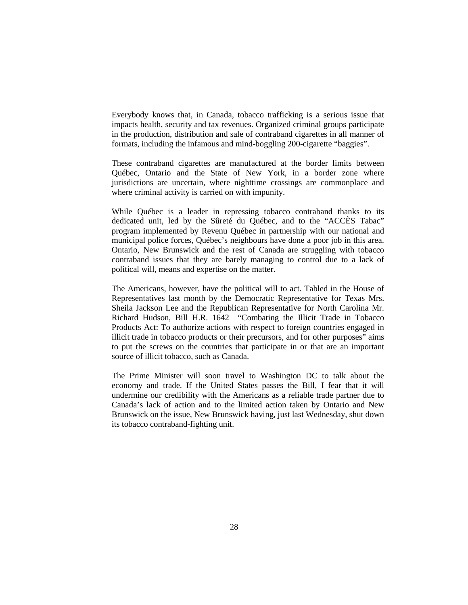Everybody knows that, in Canada, tobacco trafficking is a serious issue that impacts health, security and tax revenues. Organized criminal groups participate in the production, distribution and sale of contraband cigarettes in all manner of formats, including the infamous and mind-boggling 200-cigarette "baggies".

These contraband cigarettes are manufactured at the border limits between Québec, Ontario and the State of New York, in a border zone where jurisdictions are uncertain, where nighttime crossings are commonplace and where criminal activity is carried on with impunity.

While Québec is a leader in repressing tobacco contraband thanks to its dedicated unit, led by the Sûreté du Québec, and to the "ACCÈS Tabac" program implemented by Revenu Québec in partnership with our national and municipal police forces, Québec's neighbours have done a poor job in this area. Ontario, New Brunswick and the rest of Canada are struggling with tobacco contraband issues that they are barely managing to control due to a lack of political will, means and expertise on the matter.

The Americans, however, have the political will to act. Tabled in the House of Representatives last month by the Democratic Representative for Texas Mrs. Sheila Jackson Lee and the Republican Representative for North Carolina Mr. Richard Hudson, Bill H.R. 1642 "Combating the Illicit Trade in Tobacco Products Act: To authorize actions with respect to foreign countries engaged in illicit trade in tobacco products or their precursors, and for other purposes" aims to put the screws on the countries that participate in or that are an important source of illicit tobacco, such as Canada.

The Prime Minister will soon travel to Washington DC to talk about the economy and trade. If the United States passes the Bill, I fear that it will undermine our credibility with the Americans as a reliable trade partner due to Canada's lack of action and to the limited action taken by Ontario and New Brunswick on the issue, New Brunswick having, just last Wednesday, shut down its tobacco contraband-fighting unit.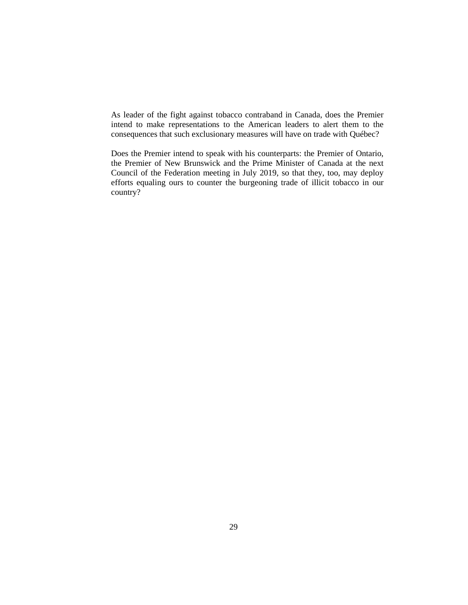As leader of the fight against tobacco contraband in Canada, does the Premier intend to make representations to the American leaders to alert them to the consequences that such exclusionary measures will have on trade with Québec?

Does the Premier intend to speak with his counterparts: the Premier of Ontario, the Premier of New Brunswick and the Prime Minister of Canada at the next Council of the Federation meeting in July 2019, so that they, too, may deploy efforts equaling ours to counter the burgeoning trade of illicit tobacco in our country?